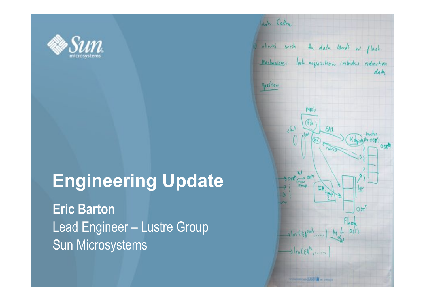

### **Engineering Update**

**Eric Barton**  Lead Engineer – Lustre Group Sun Microsystems

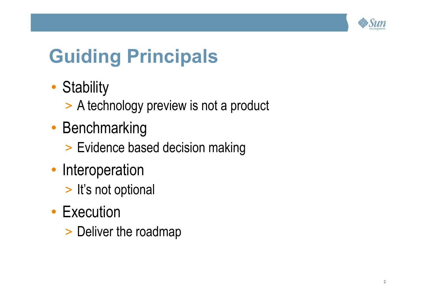

# **Guiding Principals**

- Stability
	- > A technology preview is not a product
- Benchmarking
	- > Evidence based decision making
- Interoperation
	- > It's not optional
- Execution
	- > Deliver the roadmap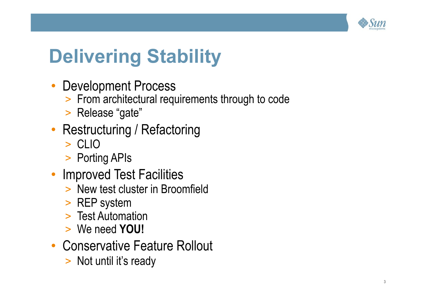

# **Delivering Stability**

- Development Process
	- > From architectural requirements through to code
	- > Release "gate"

### • Restructuring / Refactoring

- > CLIO
- > Porting APIs
- Improved Test Facilities
	- > New test cluster in Broomfield
	- > REP system
	- > Test Automation
	- > We need **YOU!**
- Conservative Feature Rollout
	- > Not until it's ready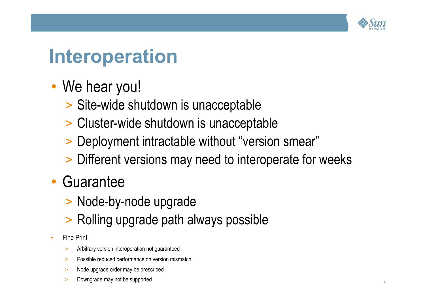

### **Interoperation**

- We hear you!
	- > Site-wide shutdown is unacceptable
	- > Cluster-wide shutdown is unacceptable
	- > Deployment intractable without "version smear"
	- > Different versions may need to interoperate for weeks
- Guarantee
	- > Node-by-node upgrade
	- > Rolling upgrade path always possible
- **Fine Print** 
	- > Arbitrary version interoperation not guaranteed
	- > Possible reduced performance on version mismatch
	- > Node upgrade order may be prescribed
	- > Downgrade may not be supported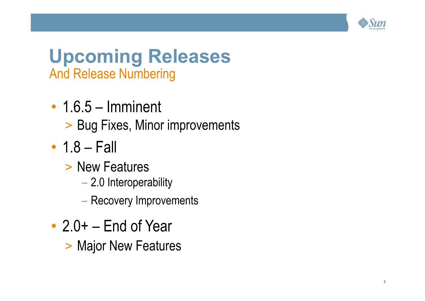

### **Upcoming Releases**  And Release Numbering

- 1.6.5 Imminent
	- > Bug Fixes, Minor improvements
- $\cdot$  1.8 Fall
	- > New Features
		- 2.0 Interoperability
		- Recovery Improvements
- $\cdot$  2.0+ End of Year
	- > Major New Features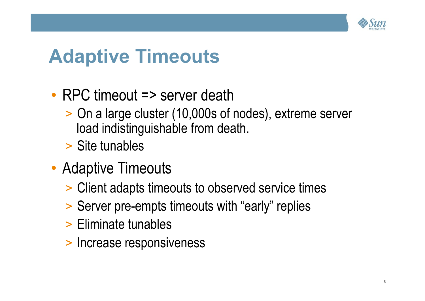

## **Adaptive Timeouts**

- RPC timeout => server death
	- > On a large cluster (10,000s of nodes), extreme server load indistinguishable from death.
	- > Site tunables
- Adaptive Timeouts
	- > Client adapts timeouts to observed service times
	- > Server pre-empts timeouts with "early" replies
	- > Eliminate tunables
	- > Increase responsiveness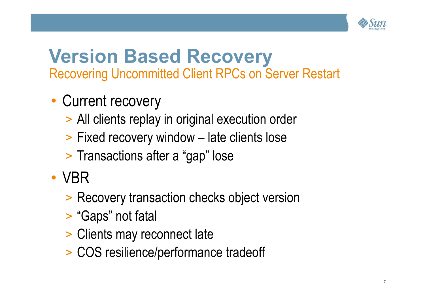

### **Version Based Recovery**  Recovering Uncommitted Client RPCs on Server Restart

- Current recovery
	- > All clients replay in original execution order
	- > Fixed recovery window late clients lose
	- > Transactions after a "gap" lose
- VBR
	- > Recovery transaction checks object version
	- > "Gaps" not fatal
	- > Clients may reconnect late
	- > COS resilience/performance tradeoff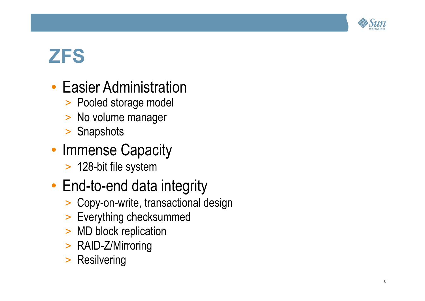

## **ZFS**

- Easier Administration
	- > Pooled storage model
	- > No volume manager
	- > Snapshots
- Immense Capacity
	- > 128-bit file system
- End-to-end data integrity
	- > Copy-on-write, transactional design
	- > Everything checksummed
	- > MD block replication
	- > RAID-Z/Mirroring
	- > Resilvering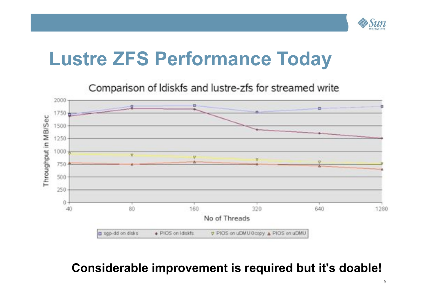

### **Lustre ZFS Performance Today**



#### **Considerable improvement is required but it's doable!**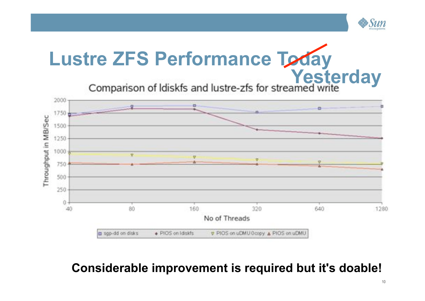

# **Lustre ZFS Performance Today**

**Yesterday**<br>Comparison of Idiskfs and lustre-zfs for streamed write



#### **Considerable improvement is required but it's doable!**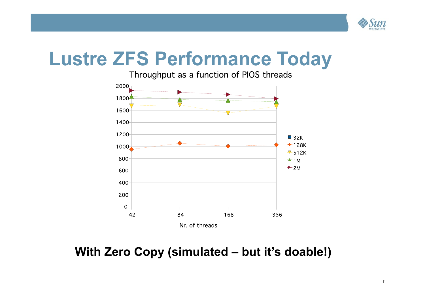

### **Lustre ZFS Performance Today**

Throughput as a function of PIOS threads



 **With Zero Copy (simulated – but it's doable!)**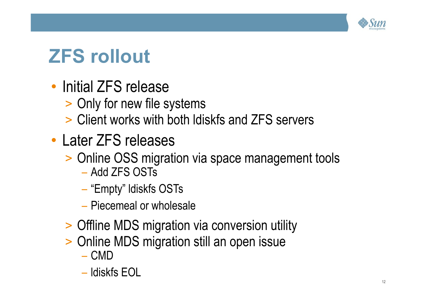

# **ZFS rollout**

- Initial ZFS release
	- > Only for new file systems
	- > Client works with both ldiskfs and ZFS servers
- Later ZFS releases
	- > Online OSS migration via space management tools
		- Add ZFS OSTs
		- "Empty" ldiskfs OSTs
		- Piecemeal or wholesale
	- > Offline MDS migration via conversion utility
	- > Online MDS migration still an open issue
		- CMD
		- ldiskfs EOL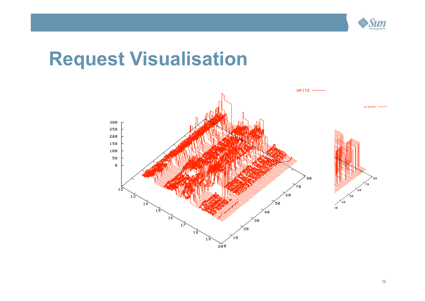

### **Request Visualisation**

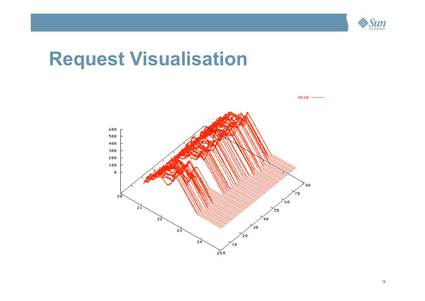

### **Request Visualisation**



14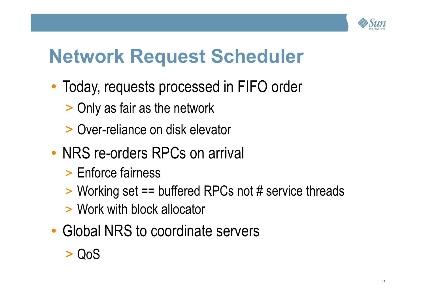

## **Network Request Scheduler**

- Today, requests processed in FIFO order
	- > Only as fair as the network
	- > Over-reliance on disk elevator
- NRS re-orders RPCs on arrival
	- > Enforce fairness
	- > Working set == buffered RPCs not # service threads
	- > Work with block allocator
- Global NRS to coordinate servers

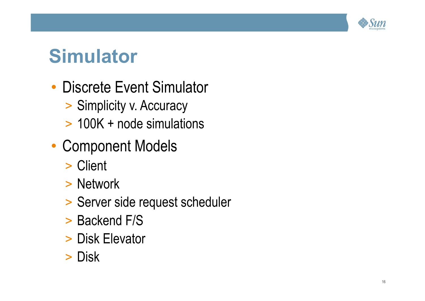

### **Simulator**

- Discrete Event Simulator
	- > Simplicity v. Accuracy
	- > 100K + node simulations
- Component Models
	- > Client
	- > Network
	- > Server side request scheduler
	- > Backend F/S
	- > Disk Elevator
	- > Disk